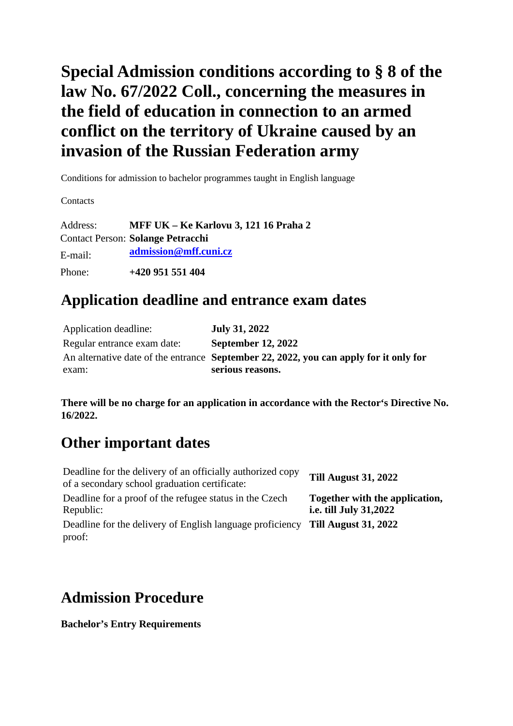# **Special Admission conditions according to § 8 of the law No. 67/2022 Coll., concerning the measures in the field of education in connection to an armed conflict on the territory of Ukraine caused by an invasion of the Russian Federation army**

Conditions for admission to bachelor programmes taught in English language

**Contacts** 

Address: **MFF UK – Ke Karlovu 3, 121 16 Praha 2** Contact Person: **Solange Petracchi** E-mail: **admissio[n@mff.cuni.cz](mailto:info@mff.cuni.cz)** Phone: **+420 951 551 404**

## **Application deadline and entrance exam dates**

| Application deadline:       | <b>July 31, 2022</b>                                                                                      |
|-----------------------------|-----------------------------------------------------------------------------------------------------------|
| Regular entrance exam date: | <b>September 12, 2022</b>                                                                                 |
| exam:                       | An alternative date of the entrance September 22, 2022, you can apply for it only for<br>serious reasons. |

**There will be no charge for an application in accordance with the Rector's Directive No. 16/2022.**

# **Other important dates**

| Deadline for the delivery of an officially authorized copy<br>of a secondary school graduation certificate: | <b>Till August 31, 2022</b>                                     |
|-------------------------------------------------------------------------------------------------------------|-----------------------------------------------------------------|
| Deadline for a proof of the refugee status in the Czech<br>Republic:                                        | Together with the application,<br><i>i.e. till July 31,2022</i> |
| Deadline for the delivery of English language proficiency<br>proof:                                         | <b>Till August 31, 2022</b>                                     |

## **Admission Procedure**

**Bachelor's Entry Requirements**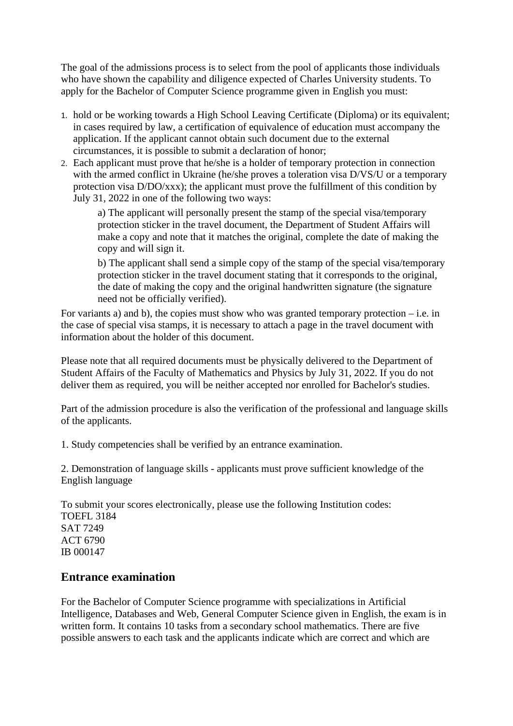The goal of the admissions process is to select from the pool of applicants those individuals who have shown the capability and diligence expected of Charles University students. To apply for the Bachelor of Computer Science programme given in English you must:

- 1. hold or be working towards a High School Leaving Certificate (Diploma) or its equivalent; in cases required by law, a certification of equivalence of education must accompany the application. If the applicant cannot obtain such document due to the external circumstances, it is possible to submit a declaration of honor;
- 2. Each applicant must prove that he/she is a holder of temporary protection in connection with the armed conflict in Ukraine (he/she proves a toleration visa D/VS/U or a temporary protection visa D/DO/xxx); the applicant must prove the fulfillment of this condition by July 31, 2022 in one of the following two ways:

a) The applicant will personally present the stamp of the special visa/temporary protection sticker in the travel document, the Department of Student Affairs will make a copy and note that it matches the original, complete the date of making the copy and will sign it.

b) The applicant shall send a simple copy of the stamp of the special visa/temporary protection sticker in the travel document stating that it corresponds to the original, the date of making the copy and the original handwritten signature (the signature need not be officially verified).

For variants a) and b), the copies must show who was granted temporary protection  $-$  i.e. in the case of special visa stamps, it is necessary to attach a page in the travel document with information about the holder of this document.

Please note that all required documents must be physically delivered to the Department of Student Affairs of the Faculty of Mathematics and Physics by July 31, 2022. If you do not deliver them as required, you will be neither accepted nor enrolled for Bachelor's studies.

Part of the admission procedure is also the verification of the professional and language skills of the applicants.

1. Study competencies shall be verified by an entrance examination.

2. Demonstration of language skills - applicants must prove sufficient knowledge of the English language

To submit your scores electronically, please use the following Institution codes: TOEFL 3184 SAT 7249 ACT 6790 IB 000147

### **Entrance examination**

For the Bachelor of Computer Science programme with specializations in Artificial Intelligence, Databases and Web, General Computer Science given in English, the exam is in written form. It contains 10 tasks from a secondary school mathematics. There are five possible answers to each task and the applicants indicate which are correct and which are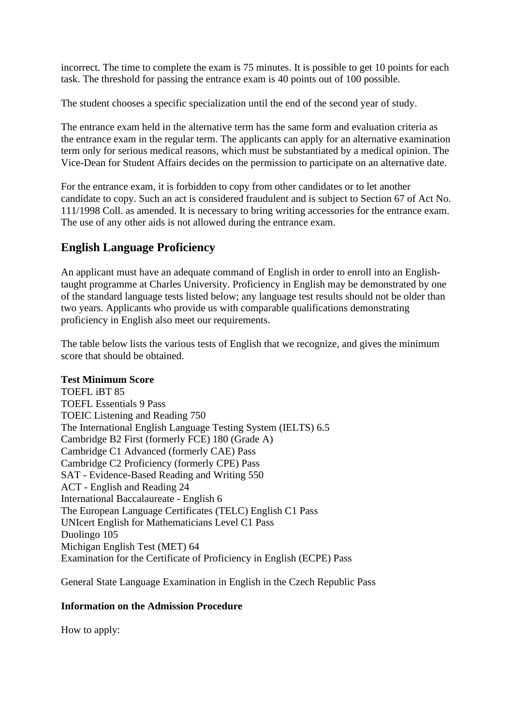incorrect. The time to complete the exam is 75 minutes. It is possible to get 10 points for each task. The threshold for passing the entrance exam is 40 points out of 100 possible.

The student chooses a specific specialization until the end of the second year of study.

The entrance exam held in the alternative term has the same form and evaluation criteria as the entrance exam in the regular term. The applicants can apply for an alternative examination term only for serious medical reasons, which must be substantiated by a medical opinion. The Vice-Dean for Student Affairs decides on the permission to participate on an alternative date.

For the entrance exam, it is forbidden to copy from other candidates or to let another candidate to copy. Such an act is considered fraudulent and is subject to Section 67 of Act No. 111/1998 Coll. as amended. It is necessary to bring writing accessories for the entrance exam. The use of any other aids is not allowed during the entrance exam.

### **English Language Proficiency**

An applicant must have an adequate command of English in order to enroll into an Englishtaught programme at Charles University. Proficiency in English may be demonstrated by one of the standard language tests listed below; any language test results should not be older than two years. Applicants who provide us with comparable qualifications demonstrating proficiency in English also meet our requirements.

The table below lists the various tests of English that we recognize, and gives the minimum score that should be obtained.

#### **Test Minimum Score**

TOEFL iBT 85 TOEFL Essentials 9 Pass TOEIC Listening and Reading 750 The International English Language Testing System (IELTS) 6.5 Cambridge B2 First (formerly FCE) 180 (Grade A) Cambridge C1 Advanced (formerly CAE) Pass Cambridge C2 Proficiency (formerly CPE) Pass SAT - Evidence-Based Reading and Writing 550 ACT - English and Reading 24 International Baccalaureate - English 6 The European Language Certificates (TELC) English C1 Pass UNIcert English for Mathematicians Level C1 Pass Duolingo 105 Michigan English Test (MET) 64 Examination for the Certificate of Proficiency in English (ECPE) Pass

General State Language Examination in English in the Czech Republic Pass

#### **Information on the Admission Procedure**

How to apply: